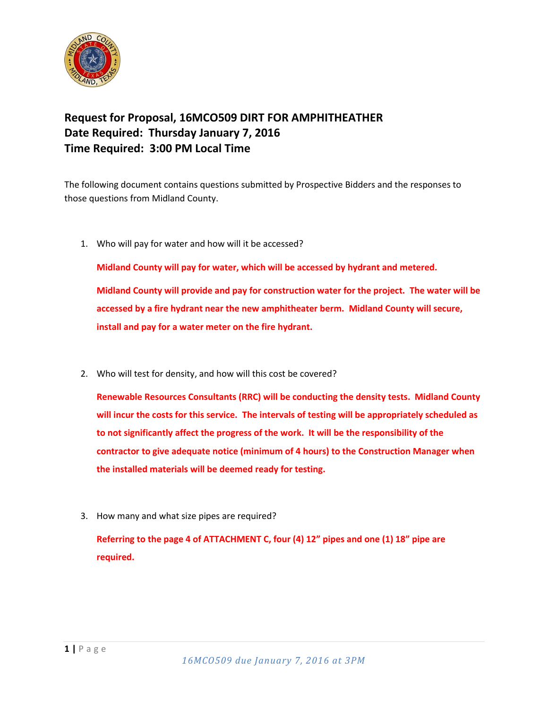

## **Request for Proposal, 16MCO509 DIRT FOR AMPHITHEATHER Date Required: Thursday January 7, 2016 Time Required: 3:00 PM Local Time**

The following document contains questions submitted by Prospective Bidders and the responses to those questions from Midland County.

1. Who will pay for water and how will it be accessed?

**Midland County will pay for water, which will be accessed by hydrant and metered. Midland County will provide and pay for construction water for the project. The water will be** 

**accessed by a fire hydrant near the new amphitheater berm. Midland County will secure, install and pay for a water meter on the fire hydrant.**

2. Who will test for density, and how will this cost be covered?

**Renewable Resources Consultants (RRC) will be conducting the density tests. Midland County will incur the costs for this service. The intervals of testing will be appropriately scheduled as to not significantly affect the progress of the work. It will be the responsibility of the contractor to give adequate notice (minimum of 4 hours) to the Construction Manager when the installed materials will be deemed ready for testing.**

3. How many and what size pipes are required?

**Referring to the page 4 of ATTACHMENT C, four (4) 12" pipes and one (1) 18" pipe are required.**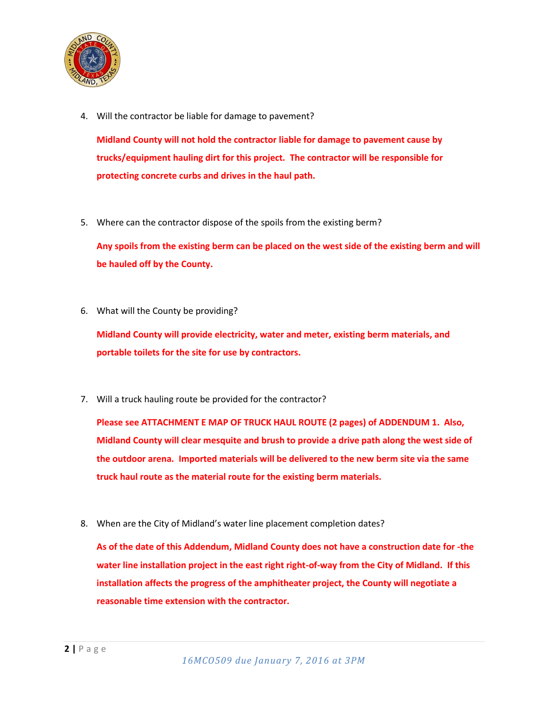

4. Will the contractor be liable for damage to pavement?

**Midland County will not hold the contractor liable for damage to pavement cause by trucks/equipment hauling dirt for this project. The contractor will be responsible for protecting concrete curbs and drives in the haul path.**

5. Where can the contractor dispose of the spoils from the existing berm?

**Any spoils from the existing berm can be placed on the west side of the existing berm and will be hauled off by the County.**

6. What will the County be providing?

**Midland County will provide electricity, water and meter, existing berm materials, and portable toilets for the site for use by contractors.**

7. Will a truck hauling route be provided for the contractor?

**Please see ATTACHMENT E MAP OF TRUCK HAUL ROUTE (2 pages) of ADDENDUM 1. Also, Midland County will clear mesquite and brush to provide a drive path along the west side of the outdoor arena. Imported materials will be delivered to the new berm site via the same truck haul route as the material route for the existing berm materials.**

8. When are the City of Midland's water line placement completion dates?

**As of the date of this Addendum, Midland County does not have a construction date for -the water line installation project in the east right right-of-way from the City of Midland. If this installation affects the progress of the amphitheater project, the County will negotiate a reasonable time extension with the contractor.**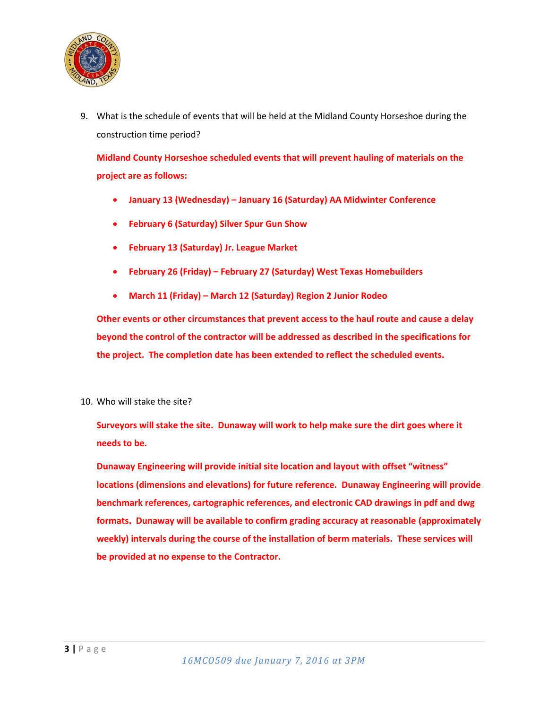

9. What is the schedule of events that will be held at the Midland County Horseshoe during the construction time period?

**Midland County Horseshoe scheduled events that will prevent hauling of materials on the project are as follows:**

- **January 13 (Wednesday) – January 16 (Saturday) AA Midwinter Conference**
- **February 6 (Saturday) Silver Spur Gun Show**
- **February 13 (Saturday) Jr. League Market**
- **February 26 (Friday) – February 27 (Saturday) West Texas Homebuilders**
- **March 11 (Friday) – March 12 (Saturday) Region 2 Junior Rodeo**

**Other events or other circumstances that prevent access to the haul route and cause a delay beyond the control of the contractor will be addressed as described in the specifications for the project. The completion date has been extended to reflect the scheduled events.**

10. Who will stake the site?

**Surveyors will stake the site. Dunaway will work to help make sure the dirt goes where it needs to be.**

**Dunaway Engineering will provide initial site location and layout with offset "witness" locations (dimensions and elevations) for future reference. Dunaway Engineering will provide benchmark references, cartographic references, and electronic CAD drawings in pdf and dwg formats. Dunaway will be available to confirm grading accuracy at reasonable (approximately weekly) intervals during the course of the installation of berm materials. These services will be provided at no expense to the Contractor.**